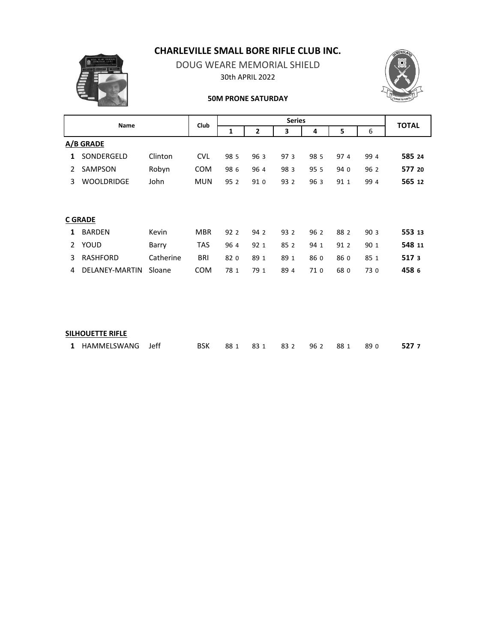# **CHARLEVILLE SMALL BORE RIFLE CLUB INC.**



DOUG WEARE MEMORIAL SHIELD 30th APRIL 2022



#### **50M PRONE SATURDAY**

| <b>Name</b>   |                   |           | Club       | <b>Series</b> |      |      |      |      |      | <b>TOTAL</b> |
|---------------|-------------------|-----------|------------|---------------|------|------|------|------|------|--------------|
|               |                   |           |            | 1             | 2    | 3    | 4    | 5    | 6    |              |
|               | A/B GRADE         |           |            |               |      |      |      |      |      |              |
| 1             | SONDERGELD        | Clinton   | <b>CVL</b> | 98 5          | 96 3 | 97 3 | 98 5 | 97 4 | 99 4 | 585 24       |
| $\mathcal{P}$ | SAMPSON           | Robyn     | <b>COM</b> | 98 6          | 964  | 983  | 95 5 | 94 0 | 96 2 | 577 20       |
| 3             | <b>WOOLDRIDGE</b> | John      | <b>MUN</b> | 95 2          | 91 0 | 93 2 | 96 3 | 91 1 | 99 4 | 565 12       |
|               |                   |           |            |               |      |      |      |      |      |              |
|               |                   |           |            |               |      |      |      |      |      |              |
|               | <b>C GRADE</b>    |           |            |               |      |      |      |      |      |              |
| 1             | <b>BARDEN</b>     | Kevin     | <b>MBR</b> | 92 2          | 94 2 | 93 2 | 96 2 | 88 2 | 903  | 553 13       |
| $\mathcal{P}$ | YOUD              | Barry     | <b>TAS</b> | 964           | 92 1 | 85 2 | 94 1 | 91 2 | 90 1 | 548 11       |
| 3             | <b>RASHFORD</b>   | Catherine | <b>BRI</b> | 82 0          | 89 1 | 89 1 | 86 0 | 86 0 | 85 1 | 5173         |
| 4             | DELANEY-MARTIN    | Sloane    | <b>COM</b> | 78 1          | 79 1 | 89 4 | 71 0 | 68 0 | 73 0 | 458 6        |
|               |                   |           |            |               |      |      |      |      |      |              |

### **SILHOUETTE RIFLE**

|  | 1 HAMMELSWANG Jeff BSK 88.1 83.1 83.2 96.2 88.1 89.0 527.7 |  |  |  |  |  |  |  |  |  |
|--|------------------------------------------------------------|--|--|--|--|--|--|--|--|--|
|--|------------------------------------------------------------|--|--|--|--|--|--|--|--|--|